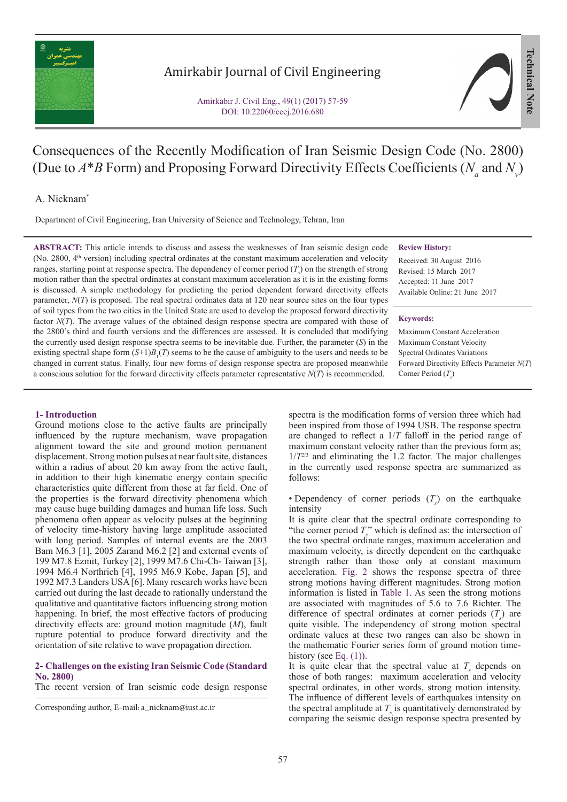

# Amirkabir Journal of Civil Engineering

Amirkabir J. Civil Eng., 49(1) (2017) 57-59 DOI: 10.22060/ceej.2016.680



# Consequences of the Recently Modification of Iran Seismic Design Code (No. 2800) (Due to  $A^*B$  Form) and Proposing Forward Directivity Effects Coefficients ( $N_a$  and  $N_v$ )

## A. Nicknam\*

Department of Civil Engineering, Iran University of Science and Technology, Tehran, Iran

**ABSTRACT:** This article intends to discuss and assess the weaknesses of Iran seismic design code (No. 2800, 4th version) including spectral ordinates at the constant maximum acceleration and velocity ranges, starting point at response spectra. The dependency of corner period  $(T<sub>s</sub>)$  on the strength of strong motion rather than the spectral ordinates at constant maximum acceleration as it is in the existing forms is discussed. A simple methodology for predicting the period dependent forward directivity effects parameter,  $N(T)$  is proposed. The real spectral ordinates data at 120 near source sites on the four types of soil types from the two cities in the United State are used to develop the proposed forward directivity factor *N(T)*. The average values of the obtained design response spectra are compared with those of the 2800's third and fourth versions and the differences are assessed. It is concluded that modifying the currently used design response spectra seems to be inevitable due. Further, the parameter (*S*) in the existing spectral shape form  $(S+1)B<sub>1</sub>(T)$  seems to be the cause of ambiguity to the users and needs to be changed in current status. Finally, four new forms of design response spectra are proposed meanwhile a conscious solution for the forward directivity effects parameter representative *N*(*T*) is recommended.

#### **Review History:**

Received: 30 August 2016 Revised: 15 March 2017 Accepted: 11 June 2017 Available Online: 21 June 2017

#### **Keywords:**

Maximum Constant Acceleration Maximum Constant Velocity Spectral Ordinates Variations Forward Directivity Effects Parameter *N*(*T*) Corner Period (T<sub>s</sub>)

### **1- Introduction**

Ground motions close to the active faults are principally influenced by the rupture mechanism, wave propagation alignment toward the site and ground motion permanent displacement. Strong motion pulses at near fault site, distances within a radius of about 20 km away from the active fault, in addition to their high kinematic energy contain specific characteristics quite different from those at far field. One of the properties is the forward directivity phenomena which may cause huge building damages and human life loss. Such phenomena often appear as velocity pulses at the beginning of velocity time-history having large amplitude associated with long period. Samples of internal events are the 2003 Bam M6.3 [1], 2005 Zarand M6.2 [2] and external events of 199 M7.8 Ezmit, Turkey [2], 1999 M7.6 Chi-Ch- Taiwan [3], 1994 M6.4 Northrich [4], 1995 M6.9 Kobe, Japan [5], and 1992 M7.3 Landers USA [6]. Many research works have been carried out during the last decade to rationally understand the qualitative and quantitative factors influencing strong motion happening. In brief, the most effective factors of producing directivity effects are: ground motion magnitude (*M*), fault rupture potential to produce forward directivity and the orientation of site relative to wave propagation direction.

### **2- Challenges on the existing Iran Seismic Code (Standard No. 2800)**

The recent version of Iran seismic code design response

spectra is the modification forms of version three which had been inspired from those of 1994 USB. The response spectra are changed to reflect a 1/*T* falloff in the period range of maximum constant velocity rather than the previous form as;  $1/T^{2/3}$  and eliminating the 1.2 factor. The major challenges in the currently used response spectra are summarized as follows:

• Dependency of corner periods  $(T<sub>s</sub>)$  on the earthquake intensity

It is quite clear that the spectral ordinate corresponding to "the corner period  $T_s$ " which is defined as: the intersection of the two spectral ordinate ranges, maximum acceleration and maximum velocity, is directly dependent on the earthquake strength rather than those only at constant maximum acceleration. Fig. 2 shows the response spectra of three strong motions having different magnitudes. Strong motion information is listed in Table 1. As seen the strong motions are associated with magnitudes of 5.6 to 7.6 Richter. The difference of spectral ordinates at corner periods  $(T<sub>s</sub>)$  are quite visible. The independency of strong motion spectral ordinate values at these two ranges can also be shown in the mathematic Fourier series form of ground motion timehistory (see Eq.  $(1)$ ).

It is quite clear that the spectral value at  $T<sub>s</sub>$  depends on those of both ranges: maximum acceleration and velocity spectral ordinates, in other words, strong motion intensity. The influence of different levels of earthquakes intensity on the spectral amplitude at  $T<sub>s</sub>$  is quantitatively demonstrated by comparing the seismic design response spectra presented by

Corresponding author, E-mail: a\_nicknam@iust.ac.ir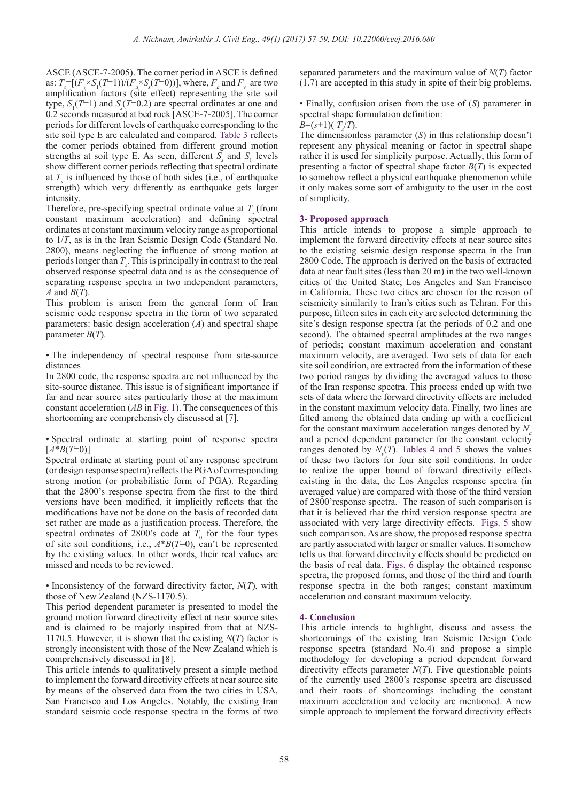ASCE (ASCE-7-2005). The corner period in ASCE is defined as:  $T_{s} = [(F_v \times S_1(T=1))/(F_a \times S_s(T=0))]$ , where,  $F_a$  and  $F_v$  are two amplification factors (site effect) representing the site soil type,  $S_1(T=1)$  and  $S_s(T=0.2)$  are spectral ordinates at one and 0.2 seconds measured at bed rock [ASCE-7-2005]. The corner periods for different levels of earthquake corresponding to the site soil type E are calculated and compared. Table 3 reflects the corner periods obtained from different ground motion strengths at soil type E. As seen, different  $S<sub>s</sub>$  and  $S<sub>1</sub>$  levels show different corner periods reflecting that spectral ordinate at  $T<sub>s</sub>$  is influenced by those of both sides (i.e., of earthquake strength) which very differently as earthquake gets larger intensity.

Therefore, pre-specifying spectral ordinate value at  $T$  (from constant maximum acceleration) and defining spectral ordinates at constant maximum velocity range as proportional to 1/*T*, as is in the Iran Seismic Design Code (Standard No. 2800), means neglecting the influence of strong motion at periods longer than  $T_s$ . This is principally in contrast to the real observed response spectral data and is as the consequence of separating response spectra in two independent parameters, *A* and *B*(*T*).

This problem is arisen from the general form of Iran seismic code response spectra in the form of two separated parameters: basic design acceleration (*A*) and spectral shape parameter *B*(*T*).

• The independency of spectral response from site-source distances

In 2800 code, the response spectra are not influenced by the site-source distance. This issue is of significant importance if far and near source sites particularly those at the maximum constant acceleration (*AB* in Fig. 1). The consequences of this shortcoming are comprehensively discussed at [7].

• Spectral ordinate at starting point of response spectra  $[A * B(T=0)]$ 

Spectral ordinate at starting point of any response spectrum (or design response spectra) reflects the PGA of corresponding strong motion (or probabilistic form of PGA). Regarding that the 2800's response spectra from the first to the third versions have been modified, it implicitly reflects that the modifications have not be done on the basis of recorded data set rather are made as a justification process. Therefore, the spectral ordinates of 2800's code at  $T_0$  for the four types of site soil conditions, i.e., *A*\**B*(*T*=0), can't be represented by the existing values. In other words, their real values are missed and needs to be reviewed.

• Inconsistency of the forward directivity factor, *N*(*T*), with those of New Zealand (NZS-1170.5).

This period dependent parameter is presented to model the ground motion forward directivity effect at near source sites and is claimed to be majorly inspired from that at NZS-1170.5. However, it is shown that the existing *N*(*T*) factor is strongly inconsistent with those of the New Zealand which is comprehensively discussed in [8].

This article intends to qualitatively present a simple method to implement the forward directivity effects at near source site by means of the observed data from the two cities in USA, San Francisco and Los Angeles. Notably, the existing Iran standard seismic code response spectra in the forms of two

separated parameters and the maximum value of *N*(*T*) factor (1.7) are accepted in this study in spite of their big problems.

• Finally, confusion arisen from the use of (*S*) parameter in spectral shape formulation definition:

*B*= $(s+1)$  $(T_s/T)$ .

The dimensionless parameter (*S*) in this relationship doesn't represent any physical meaning or factor in spectral shape rather it is used for simplicity purpose. Actually, this form of presenting a factor of spectral shape factor *B*(*T*) is expected to somehow reflect a physical earthquake phenomenon while it only makes some sort of ambiguity to the user in the cost of simplicity.

### **3- Proposed approach**

This article intends to propose a simple approach to implement the forward directivity effects at near source sites to the existing seismic design response spectra in the Iran 2800 Code. The approach is derived on the basis of extracted data at near fault sites (less than 20 m) in the two well-known cities of the United State; Los Angeles and San Francisco in California. These two cities are chosen for the reason of seismicity similarity to Iran's cities such as Tehran. For this purpose, fifteen sites in each city are selected determining the site's design response spectra (at the periods of 0.2 and one second). The obtained spectral amplitudes at the two ranges of periods; constant maximum acceleration and constant maximum velocity, are averaged. Two sets of data for each site soil condition, are extracted from the information of these two period ranges by dividing the averaged values to those of the Iran response spectra. This process ended up with two sets of data where the forward directivity effects are included in the constant maximum velocity data. Finally, two lines are fitted among the obtained data ending up with a coefficient for the constant maximum acceleration ranges denoted by  $N_a$ and a period dependent parameter for the constant velocity ranges denoted by  $N_{v}(T)$ . Tables 4 and 5 shows the values of these two factors for four site soil conditions. In order to realize the upper bound of forward directivity effects existing in the data, the Los Angeles response spectra (in averaged value) are compared with those of the third version of 2800'response spectra. The reason of such comparison is that it is believed that the third version response spectra are associated with very large directivity effects. Figs. 5 show such comparison. As are show, the proposed response spectra are partly associated with larger or smaller values. It somehow tells us that forward directivity effects should be predicted on the basis of real data. Figs. 6 display the obtained response spectra, the proposed forms, and those of the third and fourth response spectra in the both ranges; constant maximum acceleration and constant maximum velocity.

#### **4- Conclusion**

This article intends to highlight, discuss and assess the shortcomings of the existing Iran Seismic Design Code response spectra (standard No.4) and propose a simple methodology for developing a period dependent forward directivity effects parameter *N*(*T*). Five questionable points of the currently used 2800's response spectra are discussed and their roots of shortcomings including the constant maximum acceleration and velocity are mentioned. A new simple approach to implement the forward directivity effects